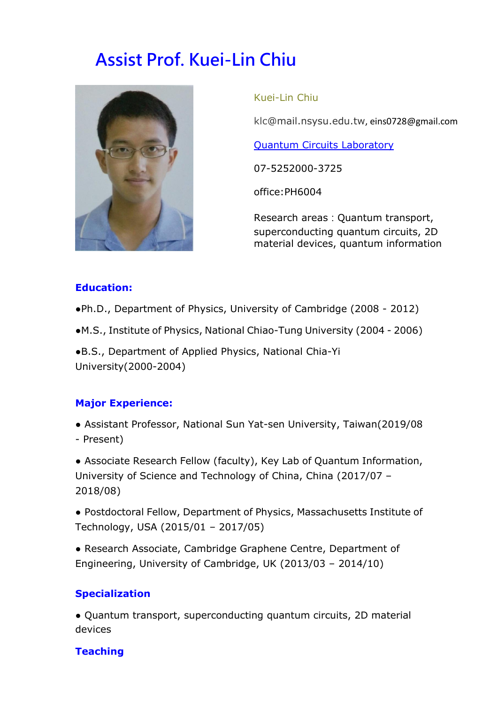# **Assist Prof. Kuei-Lin Chiu**



Kuei-Lin Chiu

klc@mail.nsysu.edu.tw, eins0728@gmail.com

[Quantum Circuits Laboratory](https://eins0728.github.io/index.html)

07-5252000-3725

office:PH6004

Research areas: Quantum transport, superconducting quantum circuits, 2D material devices, quantum information

## **Education:**

●Ph.D., Department of Physics, University of Cambridge (2008 - 2012)

●M.S., Institute of Physics, National Chiao-Tung University (2004 - 2006)

●B.S., Department of Applied Physics, National Chia-Yi University(2000-2004)

## **Major Experience:**

● Assistant Professor, National Sun Yat-sen University, Taiwan(2019/08 - Present)

• Associate Research Fellow (faculty), Key Lab of Quantum Information, University of Science and Technology of China, China (2017/07 – 2018/08)

● Postdoctoral Fellow, Department of Physics, Massachusetts Institute of Technology, USA (2015/01 – 2017/05)

● Research Associate, Cambridge Graphene Centre, Department of Engineering, University of Cambridge, UK (2013/03 – 2014/10)

# **Specialization**

● Quantum transport, superconducting quantum circuits, 2D material devices

# **Teaching**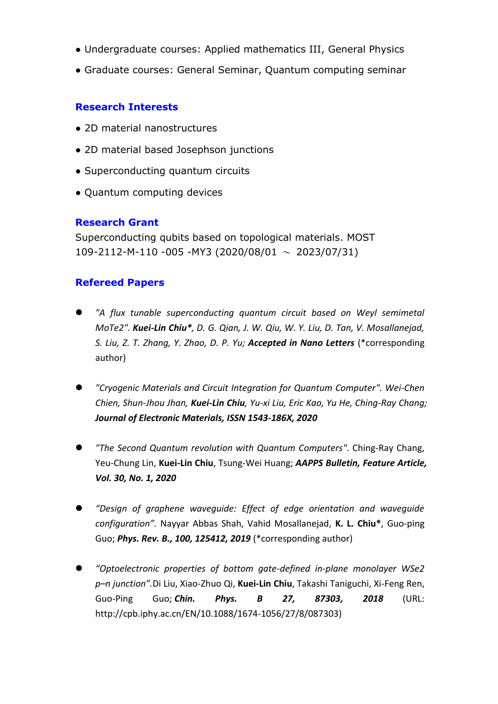- Undergraduate courses: Applied mathematics III, General Physics
- Graduate courses: General Seminar, Ouantum computing seminar

### **Research Interests**

- 2D material nanostructures
- 2D material based Josephson junctions
- Superconducting quantum circuits
- Quantum computing devices

#### **Research Grant**

Superconducting qubits based on topological materials. MOST 109-2112-M-110 -005 -MY3 (2020/08/01  $\sim$  2023/07/31)

## **Refereed Papers**

- *"A flux tunable superconducting quantum circuit based on Weyl semimetal MoTe2". Kuei-Lin Chiu\*, D. G. Qian, J. W. Qiu, W. Y. Liu, D. Tan, V. Mosallanejad, S. Liu, Z. T. Zhang, Y. Zhao, D. P. Yu; Accepted in Nano Letters* (\*corresponding author)
- *"Cryogenic Materials and Circuit Integration for Quantum Computer". Wei-Chen Chien, Shun-Jhou Jhan, Kuei-Lin Chiu, Yu-xi Liu, Eric Kao, Yu He, Ching-Ray Chang; Journal of Electronic Materials, ISSN 1543-186X, 2020*
- *"The Second Quantum revolution with Quantum Computers"*. Ching-Ray Chang, Yeu-Chung Lin, **Kuei-Lin Chiu**, Tsung-Wei Huang; *AAPPS Bulletin, Feature Article, Vol. 30, No. 1, 2020*
- *"Design of graphene waveguide: Effect of edge orientation and waveguide configuration".* Nayyar Abbas Shah, Vahid Mosallanejad, **K. L. Chiu\***, Guo-ping Guo; *Phys. Rev. B., 100, 125412, 2019* (\*corresponding author)
- *"Optoelectronic properties of bottom gate-defined in-plane monolayer WSe2 p–n junction".*Di Liu, Xiao-Zhuo Qi, **Kuei-Lin Chiu**, Takashi Taniguchi, Xi-Feng Ren, Guo-Ping Guo; *Chin. Phys. B 27, 87303, 2018* (URL: [http://cpb.iphy.ac.cn/EN/10.1088/1674-1056/27/8/087303\)](http://cpb.iphy.ac.cn/EN/10.1088/1674-1056/27/8/087303)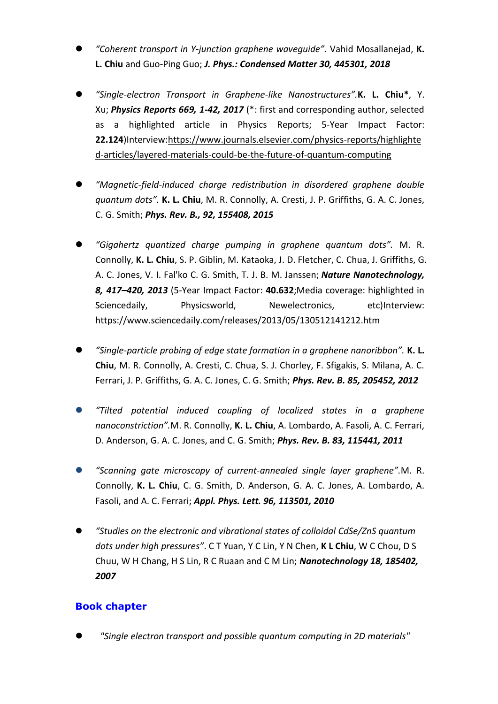- *"Coherent transport in Y-junction graphene waveguide".* Vahid Mosallanejad, **K. L. Chiu** and Guo-Ping Guo; *J. Phys.: Condensed Matter 30, 445301, 2018*
- *"Single-electron Transport in Graphene-like Nanostructures".***K. L. Chiu\***, Y. Xu; *Physics Reports 669, 1-42, 2017* (\*: first and corresponding author, selected as a highlighted article in Physics Reports; 5-Year Impact Factor: **22.124**)Interview:https://www.journals.elsevier.com/physics-reports/highlighte d-articles/layered-materials-could-be-the-future-of-quantum-computing
- *"Magnetic-field-induced charge redistribution in disordered graphene double quantum dots".* **K. L. Chiu**, M. R. Connolly, A. Cresti, J. P. Griffiths, G. A. C. Jones, C. G. Smith; *Phys. Rev. B., 92, 155408, 2015*
- *"Gigahertz quantized charge pumping in graphene quantum dots".* M. R. Connolly, **K. L. Chiu**, S. P. Giblin, M. Kataoka, J. D. Fletcher, C. Chua, J. Griffiths, G. A. C. Jones, V. I. Fal'ko C. G. Smith, T. J. B. M. Janssen; *Nature Nanotechnology, 8, 417–420, 2013* (5-Year Impact Factor: **40.632**;Media coverage: highlighted in Sciencedaily, Physicsworld, Newelectronics, etc)Interview: https://www.sciencedaily.com/releases/2013/05/130512141212.htm
- *"Single-particle probing of edge state formation in a graphene nanoribbon".* **K. L. Chiu**, M. R. Connolly, A. Cresti, C. Chua, S. J. Chorley, F. Sfigakis, S. Milana, A. C. Ferrari, J. P. Griffiths, G. A. C. Jones, C. G. Smith; *Phys. Rev. B. 85, 205452, 2012*
- *"Tilted potential induced coupling of localized states in a graphene nanoconstriction".*M. R. Connolly, **K. L. Chiu**, A. Lombardo, A. Fasoli, A. C. Ferrari, D. Anderson, G. A. C. Jones, and C. G. Smith; *Phys. Rev. B. 83, 115441, 2011*
- *"Scanning gate microscopy of current-annealed single layer graphene".*M. R. Connolly, **K. L. Chiu**, C. G. Smith, D. Anderson, G. A. C. Jones, A. Lombardo, A. Fasoli, and A. C. Ferrari; *Appl. Phys. Lett. 96, 113501, 2010*
- *"Studies on the electronic and vibrational states of colloidal CdSe/ZnS quantum dots under high pressures"*. C T Yuan, Y C Lin, Y N Chen, **K L Chiu**, W C Chou, D S Chuu, W H Chang, H S Lin, R C Ruaan and C M Lin; *Nanotechnology 18, 185402, 2007*

## **Book chapter**

*"Single electron transport and possible quantum computing in 2D materials"*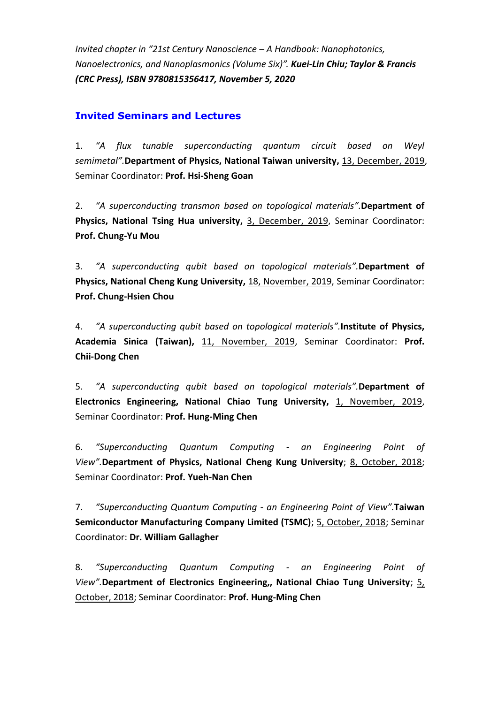*Invited chapter in "21st Century Nanoscience – A Handbook: Nanophotonics, Nanoelectronics, and Nanoplasmonics (Volume Six)". Kuei-Lin Chiu; Taylor & Francis (CRC Press), ISBN 9780815356417, November 5, 2020*

#### **Invited Seminars and Lectures**

1. *"A flux tunable superconducting quantum circuit based on Weyl semimetal".***Department of Physics, National Taiwan university,** 13, December, 2019, Seminar Coordinator: **Prof. Hsi-Sheng Goan**

2. *"A superconducting transmon based on topological materials".***Department of Physics, National Tsing Hua university,** 3, December, 2019, Seminar Coordinator: **Prof. Chung-Yu Mou**

3. *"A superconducting qubit based on topological materials".***Department of Physics, National Cheng Kung University,** 18, November, 2019, Seminar Coordinator: **Prof. Chung-Hsien Chou**

4. *"A superconducting qubit based on topological materials".***Institute of Physics, Academia Sinica (Taiwan),** 11, November, 2019, Seminar Coordinator: **Prof. Chii-Dong Chen**

5. *"A superconducting qubit based on topological materials".***Department of Electronics Engineering, National Chiao Tung University,** 1, November, 2019, Seminar Coordinator: **Prof. Hung-Ming Chen**

6. *"Superconducting Quantum Computing - an Engineering Point of View".***Department of Physics, National Cheng Kung University**; 8, October, 2018; Seminar Coordinator: **Prof. Yueh-Nan Chen**

7. *"Superconducting Quantum Computing - an Engineering Point of View".***Taiwan Semiconductor Manufacturing Company Limited (TSMC)**; 5, October, 2018; Seminar Coordinator: **Dr. William Gallagher**

8. *"Superconducting Quantum Computing - an Engineering Point of View".***Department of Electronics Engineering,, National Chiao Tung University**; 5, October, 2018; Seminar Coordinator: **Prof. Hung-Ming Chen**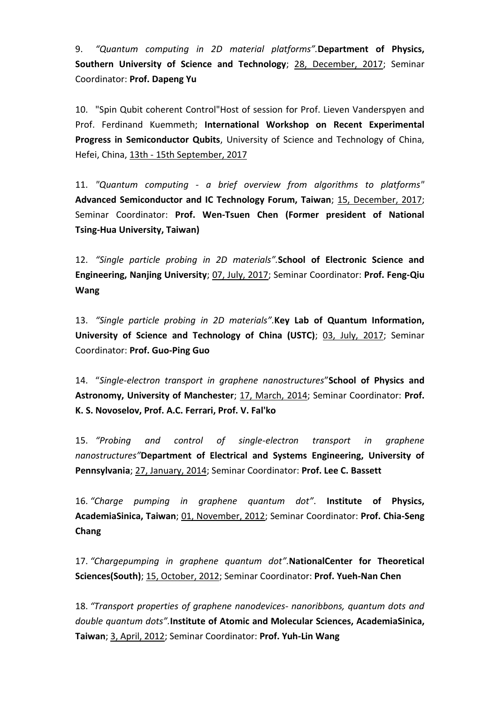9. *"Quantum computing in 2D material platforms".***Department of Physics, Southern University of Science and Technology**; 28, December, 2017; Seminar Coordinator: **Prof. Dapeng Yu**

10. "Spin Qubit coherent Control"Host of session for Prof. Lieven Vanderspyen and Prof. Ferdinand Kuemmeth; **International Workshop on Recent Experimental Progress in Semiconductor Qubits**, University of Science and Technology of China, Hefei, China, 13th - 15th September, 2017

11. *"Quantum computing - a brief overview from algorithms to platforms"*  **Advanced Semiconductor and IC Technology Forum, Taiwan**; 15, December, 2017; Seminar Coordinator: **Prof. Wen-Tsuen Chen (Former president of National Tsing-Hua University, Taiwan)**

12. *"Single particle probing in 2D materials".***School of Electronic Science and Engineering, Nanjing University**; 07, July, 2017; Seminar Coordinator: **Prof. Feng-Qiu Wang**

13. *"Single particle probing in 2D materials".***Key Lab of Quantum Information, University of Science and Technology of China (USTC)**; 03, July, 2017; Seminar Coordinator: **Prof. Guo-Ping Guo**

14. "*Single-electron transport in graphene nanostructures*"**School of Physics and Astronomy, University of Manchester**; 17, March, 2014; Seminar Coordinator: **Prof. K. S. Novoselov, Prof. A.C. Ferrari, Prof. V. Fal'ko**

15. *"Probing and control of single-electron transport in graphene nanostructures"***Department of Electrical and Systems Engineering, University of Pennsylvania**; 27, January, 2014; Seminar Coordinator: **Prof. Lee C. Bassett**

16. *"Charge pumping in graphene quantum dot"*. **Institute of Physics, AcademiaSinica, Taiwan**; 01, November, 2012; Seminar Coordinator: **Prof. Chia-Seng Chang**

17. *"Chargepumping in graphene quantum dot".***NationalCenter for Theoretical Sciences(South)**; 15, October, 2012; Seminar Coordinator: **Prof. Yueh-Nan Chen**

18. *"Transport properties of graphene nanodevices- nanoribbons, quantum dots and double quantum dots".***Institute of Atomic and Molecular Sciences, AcademiaSinica, Taiwan**; 3, April, 2012; Seminar Coordinator: **Prof. Yuh-Lin Wang**